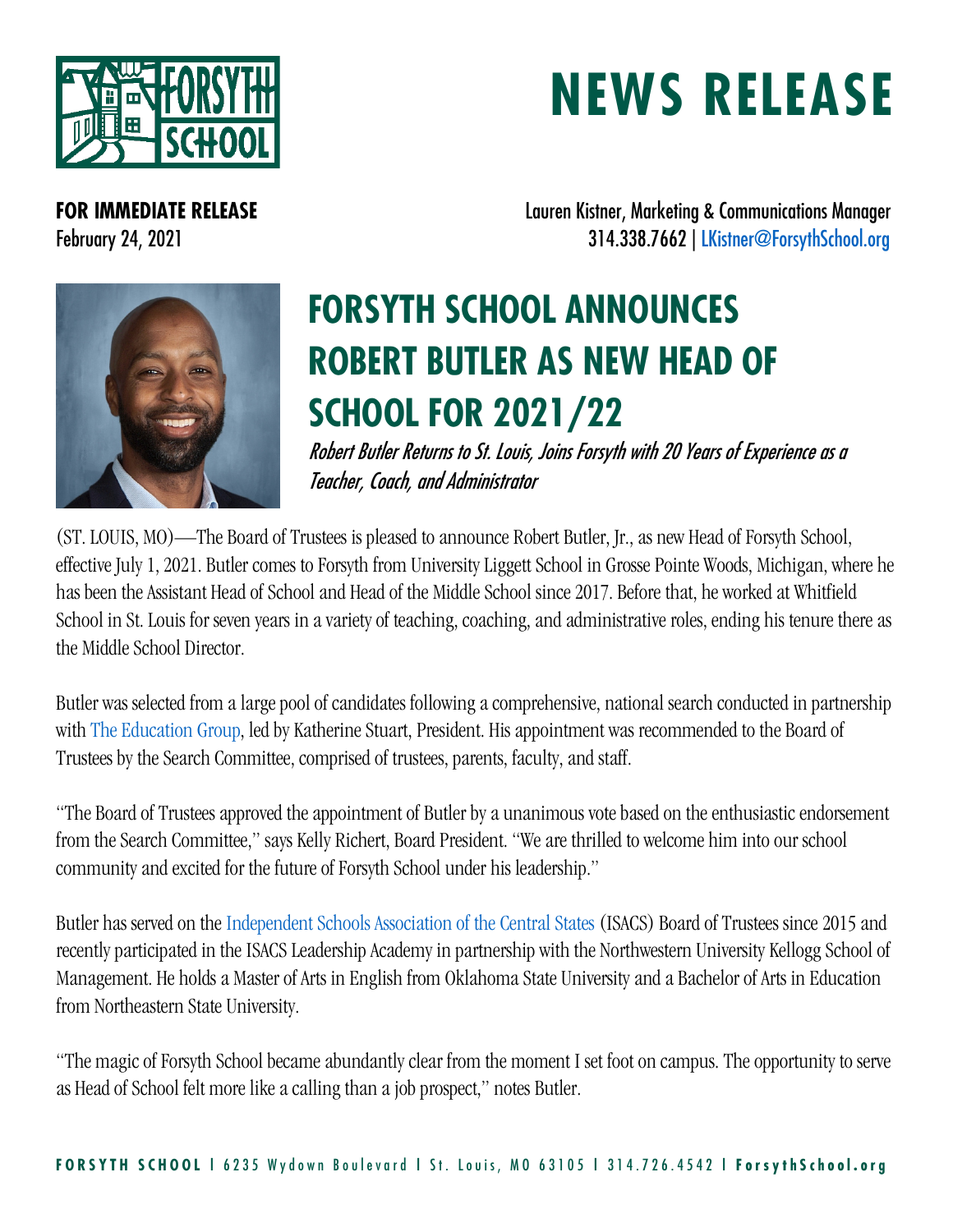

## **NEWS RELEASE**

**FOR IMMEDIATE RELEASE Lauren Kistner, Marketing & Communications Manager** February 24, 2021 314.338.7662 | [LKistner@ForsythSchool.org](mailto:LKistner@ForsythSchool.org)



## **FORSYTH SCHOOL ANNOUNCES ROBERT BUTLER AS NEW HEAD OF SCHOOL FOR 2021/22**

Robert Butler Returns to St. Louis, Joins Forsyth with 20 Years of Experience as a Teacher, Coach, and Administrator

(ST. LOUIS, MO)—The Board of Trustees is pleased to announce Robert Butler, Jr., as new Head of Forsyth School, effective July 1, 2021. Butler comes to Forsyth from University Liggett School in Grosse Pointe Woods, Michigan, where he has been the Assistant Head of School and Head of the Middle School since 2017. Before that, he worked at Whitfield School in St. Louis for seven years in a variety of teaching, coaching, and administrative roles, ending his tenure there as the Middle School Director.

Butler was selected from a large pool of candidates following a comprehensive, national search conducted in partnership with [The Education Group,](https://www.educationgroup.com/) led by Katherine Stuart, President. His appointment was recommended to the Board of Trustees by the Search Committee, comprised of trustees, parents, faculty, and staff.

"The Board of Trustees approved the appointment of Butler by a unanimous vote based on the enthusiastic endorsement from the Search Committee," says Kelly Richert, Board President. "We are thrilled to welcome him into our school community and excited for the future of Forsyth School under his leadership."

Butler has served on the [Independent Schools Association of the Central States](https://www.isacs.org/) (ISACS) Board of Trustees since 2015 and recently participated in the ISACS Leadership Academy in partnership with the Northwestern University Kellogg School of Management. He holds a Master of Arts in English from Oklahoma State University and a Bachelor of Arts in Education from Northeastern State University.

"The magic of Forsyth School became abundantly clear from the moment I set foot on campus. The opportunity to serve as Head of School felt more like a calling than a job prospect," notes Butler.